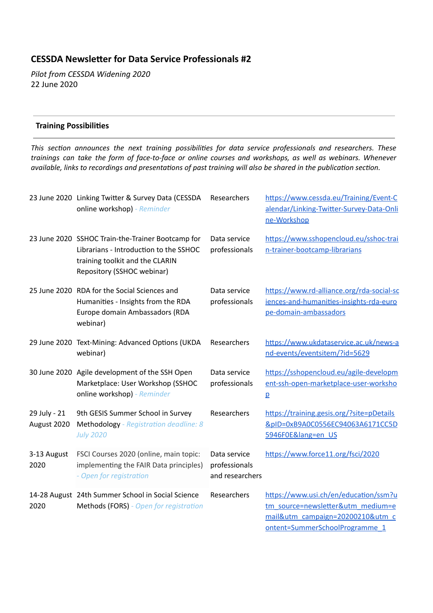# **CESSDA Newsleer for Data Service Professionals #2**

*Pilot from CESSDA Widening 2020*  22 June 2020

### **Training Possibilities**

*This secon announces the next training possibilies for data service professionals and researchers. These trainings can take the form of face-to-face or online courses and workshops, as well as webinars. Whenever available, links to recordings and presentations of past training will also be shared in the publication section.* 

|                             | 23 June 2020 Linking Twitter & Survey Data (CESSDA<br>online workshop) - Reminder                                                                            | Researchers                                      | https://www.cessda.eu/Training/Event-C<br>alendar/Linking-Twitter-Survey-Data-Onli<br>ne-Workshop                                                |
|-----------------------------|--------------------------------------------------------------------------------------------------------------------------------------------------------------|--------------------------------------------------|--------------------------------------------------------------------------------------------------------------------------------------------------|
|                             | 23 June 2020 SSHOC Train-the-Trainer Bootcamp for<br>Librarians - Introduction to the SSHOC<br>training toolkit and the CLARIN<br>Repository (SSHOC webinar) | Data service<br>professionals                    | https://www.sshopencloud.eu/sshoc-trai<br>n-trainer-bootcamp-librarians                                                                          |
|                             | 25 June 2020 RDA for the Social Sciences and<br>Humanities - Insights from the RDA<br>Europe domain Ambassadors (RDA<br>webinar)                             | Data service<br>professionals                    | https://www.rd-alliance.org/rda-social-sc<br>iences-and-humanities-insights-rda-euro<br>pe-domain-ambassadors                                    |
|                             | 29 June 2020 Text-Mining: Advanced Options (UKDA<br>webinar)                                                                                                 | Researchers                                      | https://www.ukdataservice.ac.uk/news-a<br>nd-events/eventsitem/?id=5629                                                                          |
|                             | 30 June 2020 Agile development of the SSH Open<br>Marketplace: User Workshop (SSHOC<br>online workshop) - Reminder                                           | Data service<br>professionals                    | https://sshopencloud.eu/agile-developm<br>ent-ssh-open-marketplace-user-worksho<br>$\overline{p}$                                                |
| 29 July - 21<br>August 2020 | 9th GESIS Summer School in Survey<br>Methodology - Registration deadline: 8<br><b>July 2020</b>                                                              | Researchers                                      | https://training.gesis.org/?site=pDetails<br>&pID=0xB9A0C0556EC94063A6171CC5D<br>5946F0E⟨=en US                                                  |
| 3-13 August<br>2020         | FSCI Courses 2020 (online, main topic:<br>implementing the FAIR Data principles)<br>- Open for registration                                                  | Data service<br>professionals<br>and researchers | https://www.force11.org/fsci/2020                                                                                                                |
| 2020                        | 14-28 August 24th Summer School in Social Science<br>Methods (FORS) - Open for registration                                                                  | Researchers                                      | https://www.usi.ch/en/education/ssm?u<br>tm_source=newsletter&utm_medium=e<br>mail&utm_campaign=20200210&utm_c<br>ontent=SummerSchoolProgramme 1 |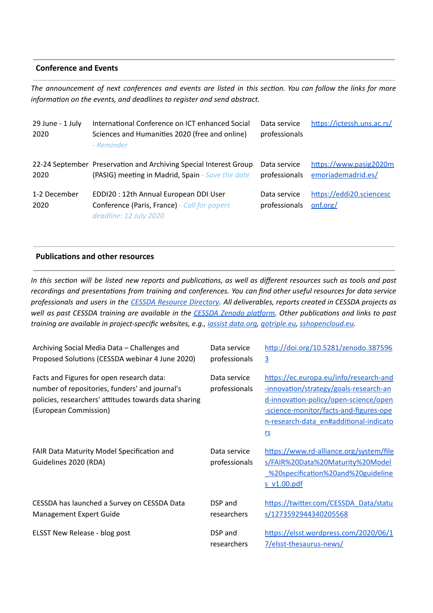#### **Conference and Events**

The announcement of next conferences and events are listed in this section. You can follow the links for more *information on the events, and deadlines to register and send abstract.* 

| 29 June - 1 July<br>2020 | International Conference on ICT enhanced Social<br>Sciences and Humanities 2020 (free and online)<br>- Reminder       | Data service<br>professionals | https://ictessh.uns.ac.rs/                   |
|--------------------------|-----------------------------------------------------------------------------------------------------------------------|-------------------------------|----------------------------------------------|
| 2020                     | 22-24 September Preservation and Archiving Special Interest Group<br>(PASIG) meeting in Madrid, Spain - Save the date | Data service<br>professionals | https://www.pasig2020m<br>emoriademadrid.es/ |
| 1-2 December<br>2020     | EDDI20: 12th Annual European DDI User<br>Conference (Paris, France) - Call for papers<br>deadline: 12 July 2020       | Data service<br>professionals | https://eddi20.sciencesc<br>onf.org/         |

### **Publications and other resources**

In this section will be listed new reports and publications, as well as different resources such as tools and past *recordings and presentaons from training and conferences. You can find other useful resources for data service* professionals and users in the CESSDA Resource [Directory](https://www.zotero.org/groups/2382601/cessda_resource_directory/library). All deliverables, reports created in CESSDA projects as well as past CESSDA training are available in the CESSDA Zenodo platform. Other publications and links to past *training are available in project-specific websites, e.g., iassist [data.org](https://iassistdata.org/), [gotriple.eu,](https://www.cessda.eu/content/download/5055/55985/file/TRIPLE_A5_LEAFLET.pdf) [sshopencloud.eu](https://sshopencloud.eu/).*

| Archiving Social Media Data – Challenges and<br>Proposed Solutions (CESSDA webinar 4 June 2020)                                                                               | Data service<br>professionals | http://doi.org/10.5281/zenodo.387596<br>$\overline{3}$                                                                                                                                                                            |
|-------------------------------------------------------------------------------------------------------------------------------------------------------------------------------|-------------------------------|-----------------------------------------------------------------------------------------------------------------------------------------------------------------------------------------------------------------------------------|
| Facts and Figures for open research data:<br>number of repositories, funders' and journal's<br>policies, researchers' attitudes towards data sharing<br>(European Commission) | Data service<br>professionals | https://ec.europa.eu/info/research-and<br><u>-innovation/strategy/goals-research-an</u><br>d-innovation-policy/open-science/open<br>-science-monitor/facts-and-figures-ope<br>n-research-data en#additional-indicato<br><u>rs</u> |
| FAIR Data Maturity Model Specification and<br>Guidelines 2020 (RDA)                                                                                                           | Data service<br>professionals | https://www.rd-alliance.org/system/file<br>s/FAIR%20Data%20Maturity%20Model<br>820specification%20and%20guideline<br>s v1.00.pdf                                                                                                  |
| CESSDA has launched a Survey on CESSDA Data<br>Management Expert Guide                                                                                                        | DSP and<br>researchers        | https://twitter.com/CESSDA Data/statu<br>s/1273592944340205568                                                                                                                                                                    |
| ELSST New Release - blog post                                                                                                                                                 | DSP and<br>researchers        | https://elsst.wordpress.com/2020/06/1<br>7/elsst-thesaurus-news/                                                                                                                                                                  |